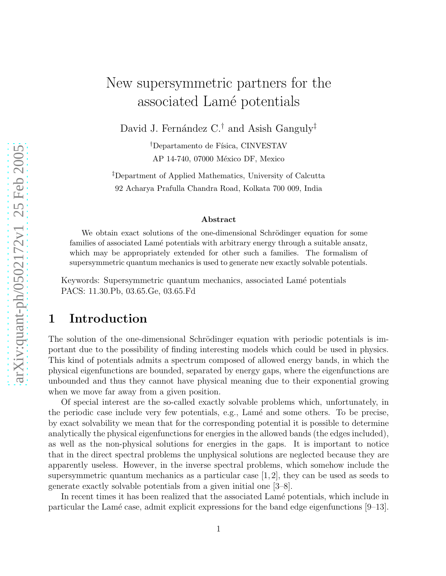# New supersymmetric partners for the associated Lamé potentials

David J. Fernández C.<sup>†</sup> and Asish Ganguly<sup>‡</sup>

<sup>†</sup>Departamento de Física, CINVESTAV AP 14-740, 07000 México DF, Mexico

‡Department of Applied Mathematics, University of Calcutta 92 Acharya Prafulla Chandra Road, Kolkata 700 009, India

#### Abstract

We obtain exact solutions of the one-dimensional Schrödinger equation for some families of associated Lamé potentials with arbitrary energy through a suitable ansatz, which may be appropriately extended for other such a families. The formalism of supersymmetric quantum mechanics is used to generate new exactly solvable potentials.

Keywords: Supersymmetric quantum mechanics, associated Lamé potentials PACS: 11.30.Pb, 03.65.Ge, 03.65.Fd

## 1 Introduction

The solution of the one-dimensional Schrödinger equation with periodic potentials is important due to the possibility of finding interesting models which could be used in physics. This kind of potentials admits a spectrum composed of allowed energy bands, in which the physical eigenfunctions are bounded, separated by energy gaps, where the eigenfunctions are unbounded and thus they cannot have physical meaning due to their exponential growing when we move far away from a given position.

Of special interest are the so-called exactly solvable problems which, unfortunately, in the periodic case include very few potentials, e.g., Lamé and some others. To be precise, by exact solvability we mean that for the corresponding potential it is possible to determine analytically the physical eigenfunctions for energies in the allowed bands (the edges included), as well as the non-physical solutions for energies in the gaps. It is important to notice that in the direct spectral problems the unphysical solutions are neglected because they are apparently useless. However, in the inverse spectral problems, which somehow include the supersymmetric quantum mechanics as a particular case  $[1, 2]$ , they can be used as seeds to generate exactly solvable potentials from a given initial one [3–8].

In recent times it has been realized that the associated Lamé potentials, which include in particular the Lamé case, admit explicit expressions for the band edge eigenfunctions  $[9-13]$ .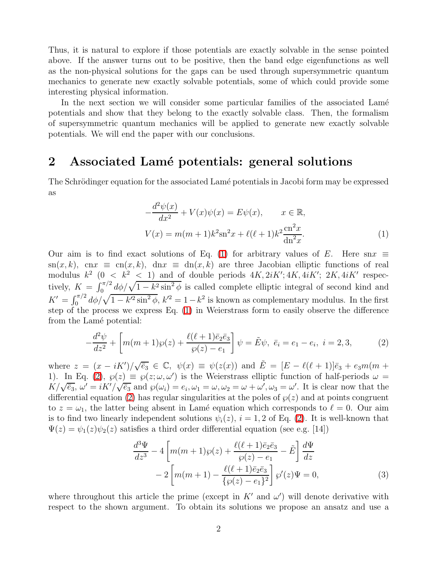Thus, it is natural to explore if those potentials are exactly solvable in the sense pointed above. If the answer turns out to be positive, then the band edge eigenfunctions as well as the non-physical solutions for the gaps can be used through supersymmetric quantum mechanics to generate new exactly solvable potentials, some of which could provide some interesting physical information.

In the next section we will consider some particular families of the associated Lamé potentials and show that they belong to the exactly solvable class. Then, the formalism of supersymmetric quantum mechanics will be applied to generate new exactly solvable potentials. We will end the paper with our conclusions.

# 2 Associated Lamé potentials: general solutions

<span id="page-1-0"></span>The Schrödinger equation for the associated Lamé potentials in Jacobi form may be expressed as

$$
-\frac{d^2\psi(x)}{dx^2} + V(x)\psi(x) = E\psi(x), \qquad x \in \mathbb{R},
$$
  

$$
V(x) = m(m+1)k^2 \operatorname{sn}^2 x + \ell(\ell+1)k^2 \frac{\operatorname{cn}^2 x}{\operatorname{dn}^2 x}.
$$
 (1)

Our aim is to find exact solutions of Eq. [\(1\)](#page-1-0) for arbitrary values of E. Here snx  $\equiv$  $\text{sn}(x, k)$ , cn $x \equiv \text{cn}(x, k)$ , dn $x \equiv \text{dn}(x, k)$  are three Jacobian elliptic functions of real modulus  $k^2$  (0 <  $k^2$  < 1) and of double periods  $4K, 2iK'; 4K, 4iK'; 2K, 4iK'$  respectively,  $K = \int_0^{\pi/2} d\phi / \sqrt{1 - k^2 \sin^2 \phi}$  is called complete elliptic integral of second kind and  $K' = \int_0^{\pi/2} d\phi / \sqrt{1 - k'^2 \sin^2 \phi}, k'^2 = 1 - k^2$  is known as complementary modulus. In the first step of the process we express Eq. [\(1\)](#page-1-0) in Weierstrass form to easily observe the difference from the Lamé potential:

<span id="page-1-1"></span>
$$
-\frac{d^2\psi}{dz^2} + \left[m(m+1)\wp(z) + \frac{\ell(\ell+1)\bar{e}_2\bar{e}_3}{\wp(z) - e_1}\right]\psi = \tilde{E}\psi, \ \bar{e}_i = e_1 - e_i, \ i = 2, 3,
$$
 (2)

where  $z = (x - iK')/\sqrt{\bar{e}_3} \in \mathbb{C}, \psi(x) \equiv \psi(z(x))$  and  $\tilde{E} = [E - \ell(\ell+1)]\bar{e}_3 + e_3m(m + \ell)$ 1). In Eq. [\(2\)](#page-1-1),  $\wp(z) \equiv \wp(z; \omega, \omega')$  is the Weierstrass elliptic function of half-periods  $\omega =$  $K/\sqrt{\bar{e}_3}$ ,  $\omega' = iK'/\sqrt{\bar{e}_3}$  and  $\wp(\omega_i) = e_i$ ,  $\omega_1 = \omega$ ,  $\omega_2 = \omega + \omega'$ ,  $\omega_3 = \omega'$ . It is clear now that the differential equation [\(2\)](#page-1-1) has regular singularities at the poles of  $\wp(z)$  and at points congruent to  $z = \omega_1$ , the latter being absent in Lamé equation which corresponds to  $\ell = 0$ . Our aim is to find two linearly independent solutions  $\psi_i(z)$ ,  $i = 1, 2$  of Eq. [\(2\)](#page-1-1). It is well-known that  $\Psi(z) = \psi_1(z)\psi_2(z)$  satisfies a third order differential equation (see e.g. [14])

$$
\frac{d^3\Psi}{dz^3} - 4\left[m(m+1)\wp(z) + \frac{\ell(\ell+1)\bar{e}_2\bar{e}_3}{\wp(z) - e_1} - \tilde{E}\right]\frac{d\Psi}{dz}
$$

$$
-2\left[m(m+1) - \frac{\ell(\ell+1)\bar{e}_2\bar{e}_3}{\{\wp(z) - e_1\}^2}\right]\wp'(z)\Psi = 0,
$$
(3)

<span id="page-1-2"></span>where throughout this article the prime (except in  $K'$  and  $\omega'$ ) will denote derivative with respect to the shown argument. To obtain its solutions we propose an ansatz and use a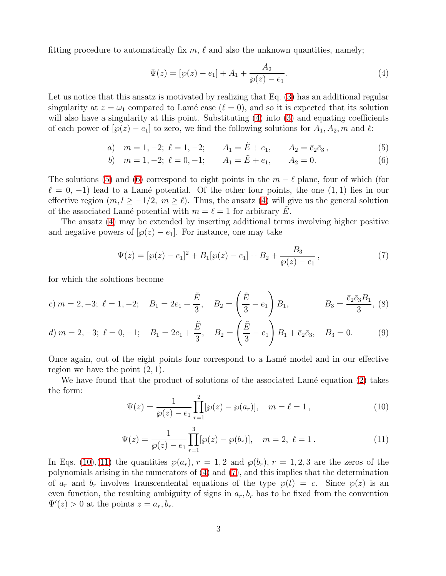fitting procedure to automatically fix  $m, \ell$  and also the unknown quantities, namely;

<span id="page-2-0"></span>
$$
\Psi(z) = [\wp(z) - e_1] + A_1 + \frac{A_2}{\wp(z) - e_1}.
$$
\n(4)

Let us notice that this ansatz is motivated by realizing that Eq.  $(3)$  has an additional regular singularity at  $z = \omega_1$  compared to Lamé case  $(\ell = 0)$ , and so it is expected that its solution will also have a singularity at this point. Substituting  $(4)$  into  $(3)$  and equating coefficients of each power of  $[\wp(z) - e_1]$  to zero, we find the following solutions for  $A_1, A_2, m$  and  $\ell$ :

a) 
$$
m = 1, -2; \ell = 1, -2; \qquad A_1 = \tilde{E} + e_1, \qquad A_2 = \bar{e}_2 \bar{e}_3,
$$
 (5)

b) 
$$
m = 1, -2; \ell = 0, -1; \qquad A_1 = \tilde{E} + e_1, \qquad A_2 = 0.
$$
 (6)

<span id="page-2-1"></span>The solutions [\(5\)](#page-2-1) and [\(6\)](#page-2-1) correspond to eight points in the  $m - \ell$  plane, four of which (for  $\ell = 0, -1$ ) lead to a Lamé potential. Of the other four points, the one  $(1, 1)$  lies in our effective region  $(m, l \ge -1/2, m \ge l)$ . Thus, the ansatz [\(4\)](#page-2-0) will give us the general solution of the associated Lamé potential with  $m = \ell = 1$  for arbitrary E.

The ansatz [\(4\)](#page-2-0) may be extended by inserting additional terms involving higher positive and negative powers of  $[\wp(z) - e_1]$ . For instance, one may take

<span id="page-2-4"></span>
$$
\Psi(z) = [\wp(z) - e_1]^2 + B_1[\wp(z) - e_1] + B_2 + \frac{B_3}{\wp(z) - e_1},\tag{7}
$$

for which the solutions become

c) 
$$
m = 2, -3; \ \ell = 1, -2; \quad B_1 = 2e_1 + \frac{\tilde{E}}{3}, \quad B_2 = \left(\frac{\tilde{E}}{3} - e_1\right)B_1, \quad B_3 = \frac{\bar{e}_2\bar{e}_3B_1}{3}, (8)
$$

d) 
$$
m = 2, -3; \ell = 0, -1; \quad B_1 = 2e_1 + \frac{\tilde{E}}{3}, \quad B_2 = \left(\frac{\tilde{E}}{3} - e_1\right)B_1 + \bar{e}_2\bar{e}_3, \quad B_3 = 0.
$$
 (9)

Once again, out of the eight points four correspond to a Lam´e model and in our effective region we have the point  $(2, 1)$ .

<span id="page-2-3"></span><span id="page-2-2"></span>We have found that the product of solutions of the associated Lamé equation  $(2)$  takes the form:

$$
\Psi(z) = \frac{1}{\wp(z) - e_1} \prod_{r=1}^{2} [\wp(z) - \wp(a_r)], \quad m = \ell = 1,
$$
\n(10)

$$
\Psi(z) = \frac{1}{\wp(z) - e_1} \prod_{r=1}^{3} [\wp(z) - \wp(b_r)], \quad m = 2, \ \ell = 1.
$$
 (11)

In Eqs. [\(10\)](#page-2-2),[\(11\)](#page-2-3) the quantities  $\wp(a_r)$ ,  $r = 1, 2$  and  $\wp(b_r)$ ,  $r = 1, 2, 3$  are the zeros of the polynomials arising in the numerators of [\(4\)](#page-2-0) and [\(7\)](#page-2-4), and this implies that the determination of  $a_r$  and  $b_r$  involves transcendental equations of the type  $\wp(t) = c$ . Since  $\wp(z)$  is an even function, the resulting ambiguity of signs in  $a_r, b_r$  has to be fixed from the convention  $\Psi'(z) > 0$  at the points  $z = a_r, b_r$ .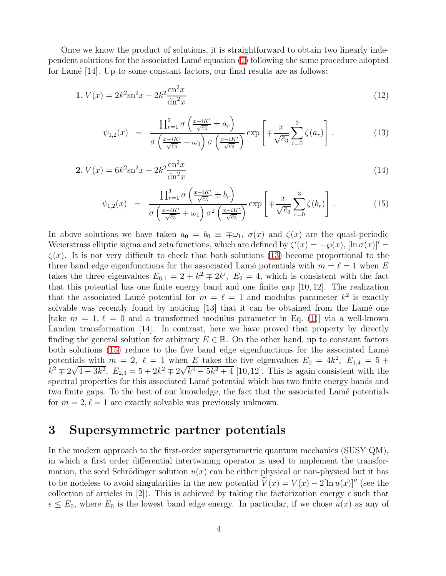Once we know the product of solutions, it is straightforward to obtain two linearly independent solutions for the associated  $\text{Lamé equation} (1)$  $\text{Lamé equation} (1)$  following the same procedure adopted for Lamé [14]. Up to some constant factors, our final results are as follows:

$$
1. V(x) = 2k^2 \sin^2 x + 2k^2 \frac{\text{cn}^2 x}{\text{dn}^2 x} \tag{12}
$$

$$
\psi_{1,2}(x) = \frac{\prod_{r=1}^{2} \sigma\left(\frac{x-iK'}{\sqrt{\overline{e}_3}} \pm a_r\right)}{\sigma\left(\frac{x-iK'}{\sqrt{\overline{e}_3}} + \omega_1\right) \sigma\left(\frac{x-iK'}{\sqrt{\overline{e}_3}}\right)} \exp\left[\mp \frac{x}{\sqrt{\overline{e}_3}} \sum_{r=0}^{2} \zeta(a_r)\right]. \tag{13}
$$

<span id="page-3-0"></span>
$$
2. V(x) = 6k^2 \sin^2 x + 2k^2 \frac{\text{cn}^2 x}{\text{dn}^2 x} \tag{14}
$$

$$
\psi_{1,2}(x) = \frac{\prod_{r=1}^{3} \sigma\left(\frac{x-iK'}{\sqrt{\bar{e}_3}} \pm b_r\right)}{\sigma\left(\frac{x-iK'}{\sqrt{\bar{e}_3}} + \omega_1\right) \sigma^2\left(\frac{x-iK'}{\sqrt{\bar{e}_3}}\right)} \exp\left[\mp \frac{x}{\sqrt{\bar{e}_3}} \sum_{r=0}^{3} \zeta(b_r)\right].
$$
\n(15)

<span id="page-3-1"></span>In above solutions we have taken  $a_0 = b_0 \equiv \pm \omega_1$ ,  $\sigma(x)$  and  $\zeta(x)$  are the quasi-periodic Weierstrass elliptic sigma and zeta functions, which are defined by  $\zeta'(x) = -\wp(x)$ ,  $[\ln \sigma(x)]'$  $\zeta(x)$ . It is not very difficult to check that both solutions [\(13\)](#page-3-0) become proportional to the three band edge eigenfunctions for the associated Lamé potentials with  $m = \ell = 1$  when E takes the three eigenvalues  $E_{0,1} = 2 + k^2 \mp 2k'$ ,  $E_2 = 4$ , which is consistent with the fact that this potential has one finite energy band and one finite gap [10, 12]. The realization that the associated Lamé potential for  $m = \ell = 1$  and modulus parameter  $k^2$  is exactly solvable was recently found by noticing [13] that it can be obtained from the Lamé one [take  $m = 1, \ell = 0$  and a transformed modulus parameter in Eq. [\(1\)](#page-1-0)] via a well-known Landen transformation [14]. In contrast, here we have proved that property by directly finding the general solution for arbitrary  $E \in \mathbb{R}$ . On the other hand, up to constant factors both solutions [\(15\)](#page-3-1) reduce to the five band edge eigenfunctions for the associated Lamé potentials with  $m = 2, \ell = 1$  when E takes the five eigenvalues  $E_0 = 4k^2, E_{1,4} = 5 +$  $k^2 \pm 2\sqrt{4-3k^2}$ ,  $E_{2,3} = 5 + 2k^2 \mp 2\sqrt{k^4 - 5k^2 + 4}$  [10,12]. This is again consistent with the spectral properties for this associated Lamé potential which has two finite energy bands and two finite gaps. To the best of our knowledge, the fact that the associated Lamé potentials for  $m = 2, \ell = 1$  are exactly solvable was previously unknown.

# 3 Supersymmetric partner potentials

In the modern approach to the first-order supersymmetric quantum mechanics (SUSY QM), in which a first order differential intertwining operator is used to implement the transformation, the seed Schrödinger solution  $u(x)$  can be either physical or non-physical but it has to be nodeless to avoid singularities in the new potential  $V(x) = V(x) - 2\ln u(x)$ <sup>"</sup> (see the collection of articles in [2]). This is achieved by taking the factorization energy  $\epsilon$  such that  $\epsilon \leq E_0$ , where  $E_0$  is the lowest band edge energy. In particular, if we chose  $u(x)$  as any of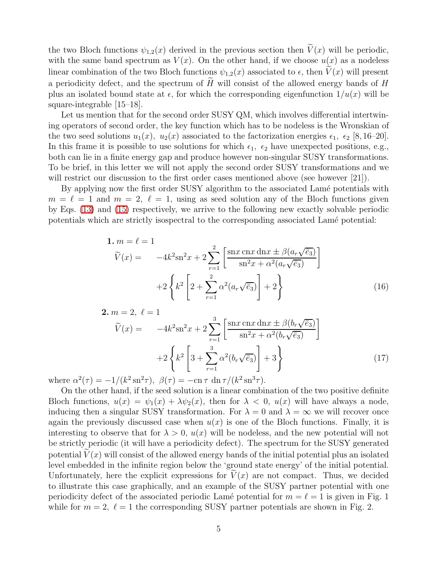the two Bloch functions  $\psi_{1,2}(x)$  derived in the previous section then  $\widetilde{V}(x)$  will be periodic, with the same band spectrum as  $V(x)$ . On the other hand, if we choose  $u(x)$  as a nodeless linear combination of the two Bloch functions  $\psi_{1,2}(x)$  associated to  $\epsilon$ , then  $V(x)$  will present a periodicity defect, and the spectrum of  $H$  will consist of the allowed energy bands of  $H$ plus an isolated bound state at  $\epsilon$ , for which the corresponding eigenfunction  $1/u(x)$  will be square-integrable [15–18].

Let us mention that for the second order SUSY QM, which involves differential intertwining operators of second order, the key function which has to be nodeless is the Wronskian of the two seed solutions  $u_1(x)$ ,  $u_2(x)$  associated to the factorization energies  $\epsilon_1$ ,  $\epsilon_2$  [8, 16–20]. In this frame it is possible to use solutions for which  $\epsilon_1$ ,  $\epsilon_2$  have unexpected positions, e.g., both can lie in a finite energy gap and produce however non-singular SUSY transformations. To be brief, in this letter we will not apply the second order SUSY transformations and we will restrict our discussion to the first order cases mentioned above (see however [21]).

By applying now the first order SUSY algorithm to the associated Lamé potentials with  $m = \ell = 1$  and  $m = 2, \ell = 1$ , using as seed solution any of the Bloch functions given by Eqs. [\(13\)](#page-3-0) and [\(15\)](#page-3-1) respectively, we arrive to the following new exactly solvable periodic potentials which are strictly isospectral to the corresponding associated Lamé potential:

$$
1. m = \ell = 1
$$
  
\n
$$
\widetilde{V}(x) = -4k^2 \operatorname{sn}^2 x + 2 \sum_{r=1}^2 \left[ \frac{\operatorname{sn} x \operatorname{cn} x \operatorname{dn} x \pm \beta (a_r \sqrt{\overline{e}_3})}{\operatorname{sn}^2 x + \alpha^2 (a_r \sqrt{\overline{e}_3})} \right]
$$
  
\n
$$
+ 2 \left\{ k^2 \left[ 2 + \sum_{r=1}^2 \alpha^2 (a_r \sqrt{\overline{e}_3}) \right] + 2 \right\}
$$
\n(16)

2. m = 2, ℓ = 1 Ve(x) = −4k 2 sn<sup>2</sup>x + 2X 3 r=1 snx cnx dnx ± β(b<sup>r</sup> √ e¯3) sn<sup>2</sup>x + α<sup>2</sup> (b<sup>r</sup> √ e¯3) +2 ( k 2 " 3 +X 3 r=1 α 2 (b<sup>r</sup> √ e¯3) # + 3) (17)

where  $\alpha^2(\tau) = -1/(k^2 \operatorname{sn}^2 \tau), \ \beta(\tau) = -\operatorname{cn} \tau \operatorname{dn} \tau/(k^2 \operatorname{sn}^3 \tau).$ 

On the other hand, if the seed solution is a linear combination of the two positive definite Bloch functions,  $u(x) = \psi_1(x) + \lambda \psi_2(x)$ , then for  $\lambda < 0$ ,  $u(x)$  will have always a node, inducing then a singular SUSY transformation. For  $\lambda = 0$  and  $\lambda = \infty$  we will recover once again the previously discussed case when  $u(x)$  is one of the Bloch functions. Finally, it is interesting to observe that for  $\lambda > 0$ ,  $u(x)$  will be nodeless, and the new potential will not be strictly periodic (it will have a periodicity defect). The spectrum for the SUSY generated potential  $V(x)$  will consist of the allowed energy bands of the initial potential plus an isolated level embedded in the infinite region below the 'ground state energy' of the initial potential. Unfortunately, here the explicit expressions for  $V(x)$  are not compact. Thus, we decided to illustrate this case graphically, and an example of the SUSY partner potential with one periodicity defect of the associated periodic Lamé potential for  $m = \ell = 1$  is given in Fig. 1 while for  $m = 2$ ,  $\ell = 1$  the corresponding SUSY partner potentials are shown in Fig. 2.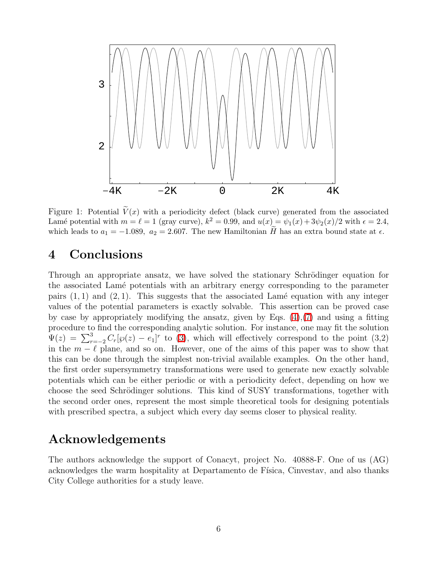

Figure 1: Potential  $\widetilde{V}(x)$  with a periodicity defect (black curve) generated from the associated Lamé potential with  $m = \ell = 1$  (gray curve),  $k^2 = 0.99$ , and  $u(x) = \psi_1(x) + 3\psi_2(x)/2$  with  $\epsilon = 2.4$ , which leads to  $a_1 = -1.089$ ,  $a_2 = 2.607$ . The new Hamiltonian H has an extra bound state at  $\epsilon$ .

# 4 Conclusions

Through an appropriate ansatz, we have solved the stationary Schrödinger equation for the associated Lam´e potentials with an arbitrary energy corresponding to the parameter pairs  $(1, 1)$  and  $(2, 1)$ . This suggests that the associated Lamé equation with any integer values of the potential parameters is exactly solvable. This assertion can be proved case by case by appropriately modifying the ansatz, given by Eqs. [\(4\)](#page-2-0),[\(7\)](#page-2-4) and using a fitting procedure to find the corresponding analytic solution. For instance, one may fit the solution  $\Psi(z) = \sum_{r=-2}^{3} C_r[\wp(z) - e_1]^r$  to [\(3\)](#page-1-2), which will effectively correspond to the point (3,2) in the  $m - \ell$  plane, and so on. However, one of the aims of this paper was to show that this can be done through the simplest non-trivial available examples. On the other hand, the first order supersymmetry transformations were used to generate new exactly solvable potentials which can be either periodic or with a periodicity defect, depending on how we choose the seed Schrödinger solutions. This kind of SUSY transformations, together with the second order ones, represent the most simple theoretical tools for designing potentials with prescribed spectra, a subject which every day seems closer to physical reality.

## Acknowledgements

The authors acknowledge the support of Conacyt, project No. 40888-F. One of us (AG) acknowledges the warm hospitality at Departamento de Física, Cinvestav, and also thanks City College authorities for a study leave.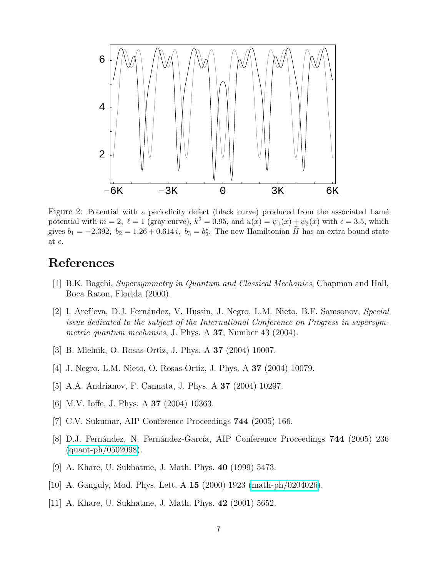

Figure 2: Potential with a periodicity defect (black curve) produced from the associated Lamé potential with  $m = 2$ ,  $\ell = 1$  (gray curve),  $k^2 = 0.95$ , and  $u(x) = \psi_1(x) + \psi_2(x)$  with  $\epsilon = 3.5$ , which gives  $b_1 = -2.392$ ,  $b_2 = 1.26 + 0.614i$ ,  $b_3 = b_2^*$ . The new Hamiltonian H has an extra bound state at  $\epsilon$ .

# References

- [1] B.K. Bagchi, Supersymmetry in Quantum and Classical Mechanics, Chapman and Hall, Boca Raton, Florida (2000).
- [2] I. Aref'eva, D.J. Fernández, V. Hussin, J. Negro, L.M. Nieto, B.F. Samsonov, Special issue dedicated to the subject of the International Conference on Progress in supersymmetric quantum mechanics, J. Phys. A 37, Number 43 (2004).
- [3] B. Mielnik, O. Rosas-Ortiz, J. Phys. A 37 (2004) 10007.
- [4] J. Negro, L.M. Nieto, O. Rosas-Ortiz, J. Phys. A 37 (2004) 10079.
- [5] A.A. Andrianov, F. Cannata, J. Phys. A 37 (2004) 10297.
- [6] M.V. Ioffe, J. Phys. A 37 (2004) 10363.
- [7] C.V. Sukumar, AIP Conference Proceedings 744 (2005) 166.
- [8] D.J. Fernández, N. Fernández-García, AIP Conference Proceedings **744** (2005) 236 [\(quant-ph/0502098\)](http://arxiv.org/abs/quant-ph/0502098).
- [9] A. Khare, U. Sukhatme, J. Math. Phys. 40 (1999) 5473.
- [10] A. Ganguly, Mod. Phys. Lett. A 15 (2000) 1923 [\(math-ph/0204026\)](http://arxiv.org/abs/math-ph/0204026).
- [11] A. Khare, U. Sukhatme, J. Math. Phys. 42 (2001) 5652.